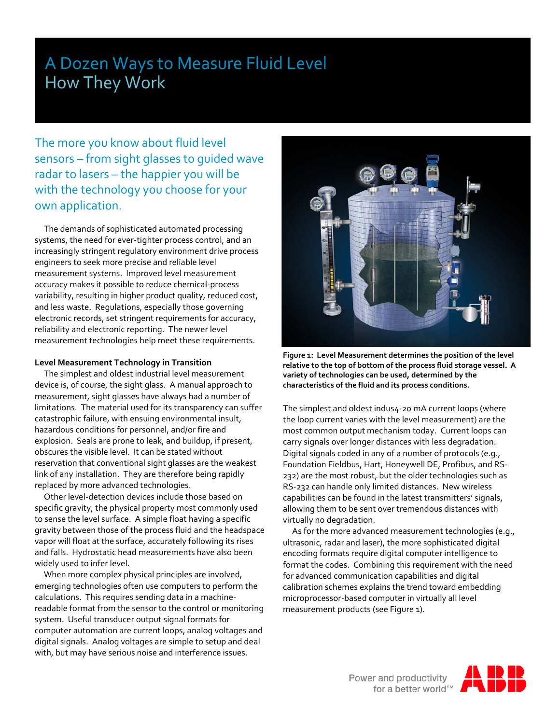# A Dozen Ways to Measure Fluid Level How They Work

The more you know about fluid level sensors – from sight glasses to guided wave radar to lasers – the happier you will be with the technology you choose for your own application.

 The demands of sophisticated automated processing systems, the need for ever-tighter process control, and an increasingly stringent regulatory environment drive process engineers to seek more precise and reliable level measurement systems. Improved level measurement accuracy makes it possible to reduce chemical-process variability, resulting in higher product quality, reduced cost, and less waste. Regulations, especially those governing electronic records, set stringent requirements for accuracy, reliability and electronic reporting. The newer level measurement technologies help meet these requirements.

# **Level Measurement Technology in Transition**

 The simplest and oldest industrial level measurement device is, of course, the sight glass. A manual approach to measurement, sight glasses have always had a number of limitations. The material used for its transparency can suffer catastrophic failure, with ensuing environmental insult, hazardous conditions for personnel, and/or fire and explosion. Seals are prone to leak, and buildup, if present, obscures the visible level. It can be stated without reservation that conventional sight glasses are the weakest link of any installation. They are therefore being rapidly replaced by more advanced technologies.

 Other level-detection devices include those based on specific gravity, the physical property most commonly used to sense the level surface. A simple float having a specific gravity between those of the process fluid and the headspace vapor will float at the surface, accurately following its rises and falls. Hydrostatic head measurements have also been widely used to infer level.

 When more complex physical principles are involved, emerging technologies often use computers to perform the calculations. This requires sending data in a machinereadable format from the sensor to the control or monitoring system. Useful transducer output signal formats for computer automation are current loops, analog voltages and digital signals. Analog voltages are simple to setup and deal with, but may have serious noise and interference issues.



**Figure 1: Level Measurement determines the position of the level relative to the top of bottom of the process fluid storage vessel. A variety of technologies can be used, determined by the characteristics of the fluid and its process conditions.**

The simplest and oldest indus4-20 mA current loops (where the loop current varies with the level measurement) are the most common output mechanism today. Current loops can carry signals over longer distances with less degradation. Digital signals coded in any of a number of protocols (e.g., Foundation Fieldbus, Hart, Honeywell DE, Profibus, and RS-232) are the most robust, but the older technologies such as RS-232 can handle only limited distances. New wireless capabilities can be found in the latest transmitters' signals, allowing them to be sent over tremendous distances with virtually no degradation.

 As for the more advanced measurement technologies (e.g., ultrasonic, radar and laser), the more sophisticated digital encoding formats require digital computer intelligence to format the codes. Combining this requirement with the need for advanced communication capabilities and digital calibration schemes explains the trend toward embedding microprocessor-based computer in virtually all level measurement products (see Figure 1).

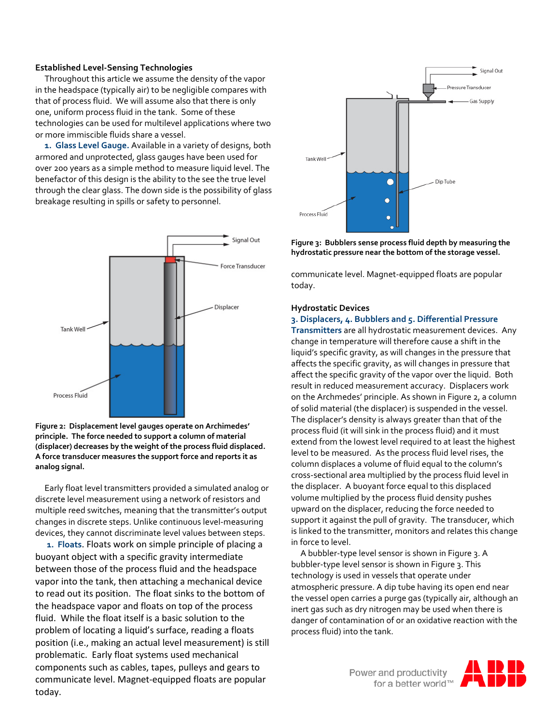### **Established Level-Sensing Technologies**

 Throughout this article we assume the density of the vapor in the headspace (typically air) to be negligible compares with that of process fluid. We will assume also that there is only one, uniform process fluid in the tank. Some of these technologies can be used for multilevel applications where two or more immiscible fluids share a vessel.

 **1. Glass Level Gauge.** Available in a variety of designs, both armored and unprotected, glass gauges have been used for over 200 years as a simple method to measure liquid level. The benefactor of this design is the ability to the see the true level through the clear glass. The down side is the possibility of glass breakage resulting in spills or safety to personnel.



**Figure 2: Displacement level gauges operate on Archimedes' principle. The force needed to support a column of material (displacer) decreases by the weight of the process fluid displaced. A force transducer measures the support force and reports it as analog signal.**

 Early float level transmitters provided a simulated analog or discrete level measurement using a network of resistors and multiple reed switches, meaning that the transmitter's output changes in discrete steps. Unlike continuous level-measuring devices, they cannot discriminate level values between steps.

 **1. Floats**. Floats work on simple principle of placing a buoyant object with a specific gravity intermediate between those of the process fluid and the headspace vapor into the tank, then attaching a mechanical device to read out its position. The float sinks to the bottom of the headspace vapor and floats on top of the process fluid. While the float itself is a basic solution to the problem of locating a liquid's surface, reading a floats position (i.e., making an actual level measurement) is still problematic. Early float systems used mechanical components such as cables, tapes, pulleys and gears to communicate level. Magnet-equipped floats are popular today.



**Figure 3: Bubblers sense process fluid depth by measuring the hydrostatic pressure near the bottom of the storage vessel.**

communicate level. Magnet-equipped floats are popular today.

#### **Hydrostatic Devices**

### **3. Displacers, 4. Bubblers and 5. Differential Pressure**

**Transmitters** are all hydrostatic measurement devices. Any change in temperature will therefore cause a shift in the liquid's specific gravity, as will changes in the pressure that affects the specific gravity, as will changes in pressure that affect the specific gravity of the vapor over the liquid. Both result in reduced measurement accuracy. Displacers work on the Archmedes' principle. As shown in Figure 2, a column of solid material (the displacer) is suspended in the vessel. The displacer's density is always greater than that of the process fluid (it will sink in the process fluid) and it must extend from the lowest level required to at least the highest level to be measured. As the process fluid level rises, the column displaces a volume of fluid equal to the column's cross-sectional area multiplied by the process fluid level in the displacer. A buoyant force equal to this displaced volume multiplied by the process fluid density pushes upward on the displacer, reducing the force needed to support it against the pull of gravity. The transducer, which is linked to the transmitter, monitors and relates this change in force to level.

 A bubbler-type level sensor is shown in Figure 3. A bubbler-type level sensor is shown in Figure 3. This technology is used in vessels that operate under atmospheric pressure. A dip tube having its open end near the vessel open carries a purge gas (typically air, although an inert gas such as dry nitrogen may be used when there is danger of contamination of or an oxidative reaction with the process fluid) into the tank.

Power and productivity<br>for a better world™

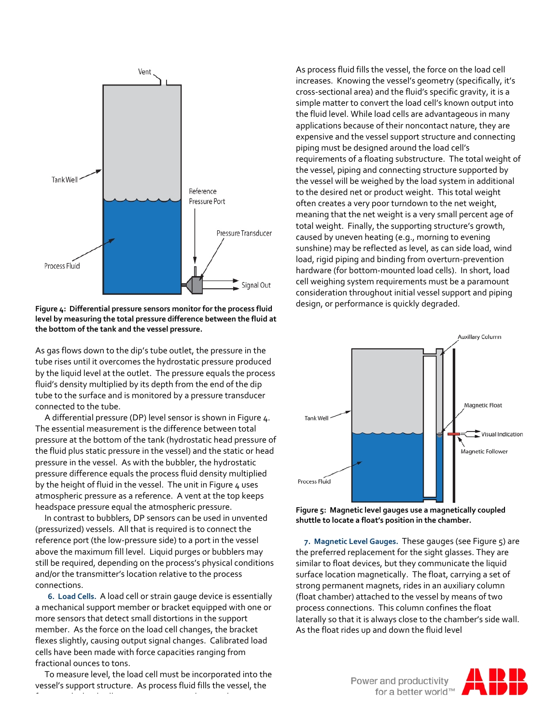

**Figure 4: Differential pressure sensors monitor for the process fluid level by measuring the total pressure difference between the fluid at the bottom of the tank and the vessel pressure.**

As gas flows down to the dip's tube outlet, the pressure in the tube rises until it overcomes the hydrostatic pressure produced by the liquid level at the outlet. The pressure equals the process fluid's density multiplied by its depth from the end of the dip tube to the surface and is monitored by a pressure transducer connected to the tube.

 A differential pressure (DP) level sensor is shown in Figure 4. The essential measurement is the difference between total pressure at the bottom of the tank (hydrostatic head pressure of the fluid plus static pressure in the vessel) and the static or head pressure in the vessel. As with the bubbler, the hydrostatic pressure difference equals the process fluid density multiplied by the height of fluid in the vessel. The unit in Figure 4 uses atmospheric pressure as a reference. A vent at the top keeps headspace pressure equal the atmospheric pressure.

 In contrast to bubblers, DP sensors can be used in unvented (pressurized) vessels. All that is required is to connect the reference port (the low-pressure side) to a port in the vessel above the maximum fill level. Liquid purges or bubblers may still be required, depending on the process's physical conditions and/or the transmitter's location relative to the process connections.

 **6. Load Cells.** A load cell or strain gauge device is essentially a mechanical support member or bracket equipped with one or more sensors that detect small distortions in the support member. As the force on the load cell changes, the bracket flexes slightly, causing output signal changes. Calibrated load cells have been made with force capacities ranging from fractional ounces to tons.

 To measure level, the load cell must be incorporated into the vessel's support structure. As process fluid fills the vessel, the

f h la han de la han de la han de la han de la han de la han de la han de la han de la han de la han de la han<br>En la han de la han de la han de la han de la han de la han de la han de la han de la han de la han de la han

As process fluid fills the vessel, the force on the load cell increases. Knowing the vessel's geometry (specifically, it's cross-sectional area) and the fluid's specific gravity, it is a simple matter to convert the load cell's known output into the fluid level. While load cells are advantageous in many applications because of their noncontact nature, they are expensive and the vessel support structure and connecting piping must be designed around the load cell's requirements of a floating substructure. The total weight of the vessel, piping and connecting structure supported by the vessel will be weighed by the load system in additional to the desired net or product weight. This total weight often creates a very poor turndown to the net weight, meaning that the net weight is a very small percent age of total weight. Finally, the supporting structure's growth, caused by uneven heating (e.g., morning to evening sunshine) may be reflected as level, as can side load, wind load, rigid piping and binding from overturn-prevention hardware (for bottom-mounted load cells). In short, load cell weighing system requirements must be a paramount consideration throughout initial vessel support and piping design, or performance is quickly degraded.



**Figure 5: Magnetic level gauges use a magnetically coupled shuttle to locate a float's position in the chamber.**

 **7. Magnetic Level Gauges.** These gauges (see Figure 5) are the preferred replacement for the sight glasses. They are similar to float devices, but they communicate the liquid surface location magnetically. The float, carrying a set of strong permanent magnets, rides in an auxiliary column (float chamber) attached to the vessel by means of two process connections. This column confines the float laterally so that it is always close to the chamber's side wall. As the float rides up and down the fluid level

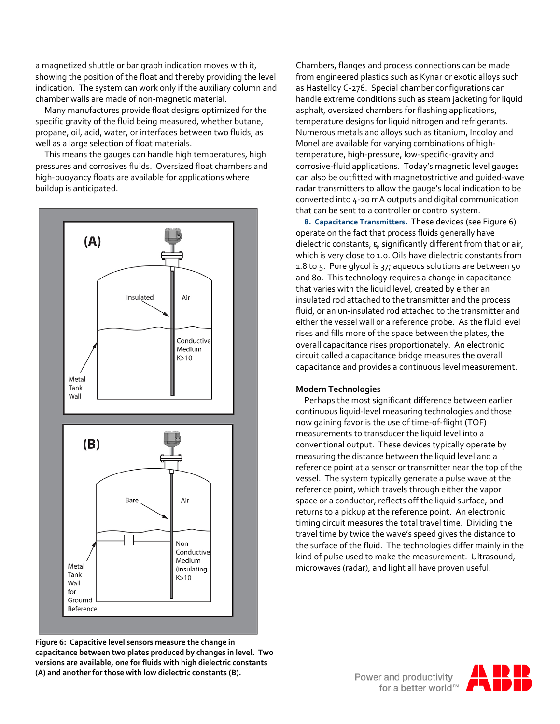a magnetized shuttle or bar graph indication moves with it, showing the position of the float and thereby providing the level indication. The system can work only if the auxiliary column and chamber walls are made of non-magnetic material.

 Many manufactures provide float designs optimized for the specific gravity of the fluid being measured, whether butane, propane, oil, acid, water, or interfaces between two fluids, as well as a large selection of float materials.

 This means the gauges can handle high temperatures, high pressures and corrosives fluids. Oversized float chambers and high-buoyancy floats are available for applications where buildup is anticipated.



**Figure 6: Capacitive level sensors measure the change in capacitance between two plates produced by changes in level. Two versions are available, one for fluids with high dielectric constants (A) and another for those with low dielectric constants (B).**

Chambers, flanges and process connections can be made from engineered plastics such as Kynar or exotic alloys such as Hastelloy C-276. Special chamber configurations can handle extreme conditions such as steam jacketing for liquid asphalt, oversized chambers for flashing applications, temperature designs for liquid nitrogen and refrigerants. Numerous metals and alloys such as titanium, Incoloy and Monel are available for varying combinations of hightemperature, high-pressure, low-specific-gravity and corrosive-fluid applications. Today's magnetic level gauges can also be outfitted with magnetostrictive and guided-wave radar transmitters to allow the gauge's local indication to be converted into 4-20 mA outputs and digital communication that can be sent to a controller or control system.

 **8. Capacitance Transmitters.** These devices (see Figure 6) operate on the fact that process fluids generally have dielectric constants,  $\varepsilon$ , significantly different from that or air, which is very close to 1.0. Oils have dielectric constants from 1.8 to 5. Pure glycol is 37; aqueous solutions are between 50 and 80. This technology requires a change in capacitance that varies with the liquid level, created by either an insulated rod attached to the transmitter and the process fluid, or an un-insulated rod attached to the transmitter and either the vessel wall or a reference probe. As the fluid level rises and fills more of the space between the plates, the overall capacitance rises proportionately. An electronic circuit called a capacitance bridge measures the overall capacitance and provides a continuous level measurement.

# **Modern Technologies**

Perhaps the most significant difference between earlier continuous liquid-level measuring technologies and those now gaining favor is the use of time-of-flight (TOF) measurements to transducer the liquid level into a conventional output. These devices typically operate by measuring the distance between the liquid level and a reference point at a sensor or transmitter near the top of the vessel. The system typically generate a pulse wave at the reference point, which travels through either the vapor space or a conductor, reflects off the liquid surface, and returns to a pickup at the reference point. An electronic timing circuit measures the total travel time. Dividing the travel time by twice the wave's speed gives the distance to the surface of the fluid. The technologies differ mainly in the kind of pulse used to make the measurement. Ultrasound, microwaves (radar), and light all have proven useful.

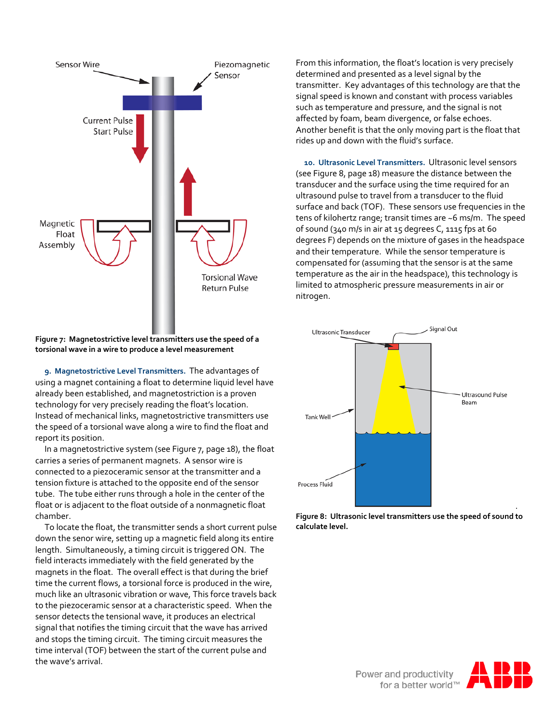

**Figure 7: Magnetostrictive level transmitters use the speed of a torsional wave in a wire to produce a level measurement**

 **9. Magnetostrictive Level Transmitters.** The advantages of using a magnet containing a float to determine liquid level have already been established, and magnetostriction is a proven technology for very precisely reading the float's location. Instead of mechanical links, magnetostrictive transmitters use the speed of a torsional wave along a wire to find the float and report its position.

 In a magnetostrictive system (see Figure 7, page 18), the float carries a series of permanent magnets. A sensor wire is connected to a piezoceramic sensor at the transmitter and a tension fixture is attached to the opposite end of the sensor tube. The tube either runs through a hole in the center of the float or is adjacent to the float outside of a nonmagnetic float chamber.

 To locate the float, the transmitter sends a short current pulse down the senor wire, setting up a magnetic field along its entire length. Simultaneously, a timing circuit is triggered ON. The field interacts immediately with the field generated by the magnets in the float. The overall effect is that during the brief time the current flows, a torsional force is produced in the wire, much like an ultrasonic vibration or wave, This force travels back to the piezoceramic sensor at a characteristic speed. When the sensor detects the tensional wave, it produces an electrical signal that notifies the timing circuit that the wave has arrived and stops the timing circuit. The timing circuit measures the time interval (TOF) between the start of the current pulse and the wave's arrival.

From this information, the float's location is very precisely determined and presented as a level signal by the transmitter. Key advantages of this technology are that the signal speed is known and constant with process variables such as temperature and pressure, and the signal is not affected by foam, beam divergence, or false echoes. Another benefit is that the only moving part is the float that rides up and down with the fluid's surface.

 **10. Ultrasonic Level Transmitters.** Ultrasonic level sensors (see Figure 8, page 18) measure the distance between the transducer and the surface using the time required for an ultrasound pulse to travel from a transducer to the fluid surface and back (TOF). These sensors use frequencies in the tens of kilohertz range; transit times are ~6 ms/m. The speed of sound (340 m/s in air at 15 degrees C, 1115 fps at 60 degrees F) depends on the mixture of gases in the headspace and their temperature. While the sensor temperature is compensated for (assuming that the sensor is at the same temperature as the air in the headspace), this technology is limited to atmospheric pressure measurements in air or nitrogen.





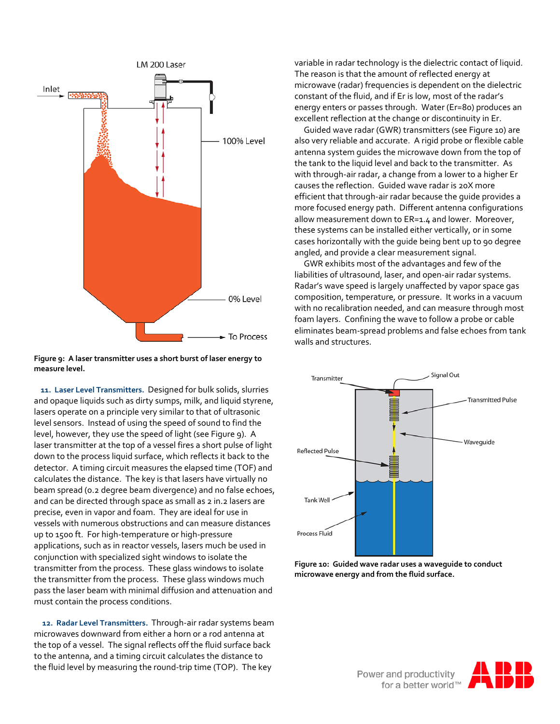

**Figure 9: A laser transmitter uses a short burst of laser energy to measure level.**

 **11. Laser Level Transmitters.** Designed for bulk solids, slurries and opaque liquids such as dirty sumps, milk, and liquid styrene, lasers operate on a principle very similar to that of ultrasonic level sensors. Instead of using the speed of sound to find the level, however, they use the speed of light (see Figure 9). A laser transmitter at the top of a vessel fires a short pulse of light down to the process liquid surface, which reflects it back to the detector. A timing circuit measures the elapsed time (TOF) and calculates the distance. The key is that lasers have virtually no beam spread (0.2 degree beam divergence) and no false echoes, and can be directed through space as small as 2 in.2 lasers are precise, even in vapor and foam. They are ideal for use in vessels with numerous obstructions and can measure distances up to 1500 ft. For high-temperature or high-pressure applications, such as in reactor vessels, lasers much be used in conjunction with specialized sight windows to isolate the transmitter from the process. These glass windows to isolate the transmitter from the process. These glass windows much pass the laser beam with minimal diffusion and attenuation and must contain the process conditions.

 **12. Radar Level Transmitters.** Through-air radar systems beam microwaves downward from either a horn or a rod antenna at the top of a vessel. The signal reflects off the fluid surface back to the antenna, and a timing circuit calculates the distance to the fluid level by measuring the round-trip time (TOP). The key

variable in radar technology is the dielectric contact of liquid. The reason is that the amount of reflected energy at microwave (radar) frequencies is dependent on the dielectric constant of the fluid, and if Er is low, most of the radar's energy enters or passes through. Water (Er=80) produces an excellent reflection at the change or discontinuity in Er.

 Guided wave radar (GWR) transmitters (see Figure 10) are also very reliable and accurate. A rigid probe or flexible cable antenna system guides the microwave down from the top of the tank to the liquid level and back to the transmitter. As with through-air radar, a change from a lower to a higher Er causes the reflection. Guided wave radar is 20X more efficient that through-air radar because the guide provides a more focused energy path. Different antenna configurations allow measurement down to ER=1.4 and lower. Moreover, these systems can be installed either vertically, or in some cases horizontally with the guide being bent up to 90 degree angled, and provide a clear measurement signal.

 GWR exhibits most of the advantages and few of the liabilities of ultrasound, laser, and open-air radar systems. Radar's wave speed is largely unaffected by vapor space gas composition, temperature, or pressure. It works in a vacuum with no recalibration needed, and can measure through most foam layers. Confining the wave to follow a probe or cable eliminates beam-spread problems and false echoes from tank walls and structures.